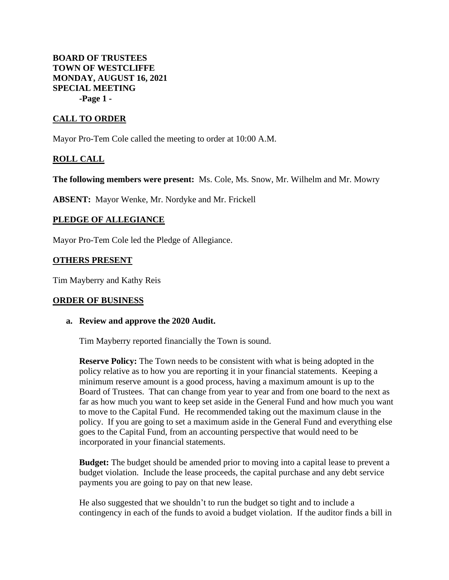**BOARD OF TRUSTEES TOWN OF WESTCLIFFE MONDAY, AUGUST 16, 2021 SPECIAL MEETING -Page 1 -**

# **CALL TO ORDER**

Mayor Pro-Tem Cole called the meeting to order at 10:00 A.M.

## **ROLL CALL**

**The following members were present:** Ms. Cole, Ms. Snow, Mr. Wilhelm and Mr. Mowry

**ABSENT:** Mayor Wenke, Mr. Nordyke and Mr. Frickell

## **PLEDGE OF ALLEGIANCE**

Mayor Pro-Tem Cole led the Pledge of Allegiance.

### **OTHERS PRESENT**

Tim Mayberry and Kathy Reis

#### **ORDER OF BUSINESS**

#### **a. Review and approve the 2020 Audit.**

Tim Mayberry reported financially the Town is sound.

**Reserve Policy:** The Town needs to be consistent with what is being adopted in the policy relative as to how you are reporting it in your financial statements. Keeping a minimum reserve amount is a good process, having a maximum amount is up to the Board of Trustees. That can change from year to year and from one board to the next as far as how much you want to keep set aside in the General Fund and how much you want to move to the Capital Fund. He recommended taking out the maximum clause in the policy. If you are going to set a maximum aside in the General Fund and everything else goes to the Capital Fund, from an accounting perspective that would need to be incorporated in your financial statements.

**Budget:** The budget should be amended prior to moving into a capital lease to prevent a budget violation. Include the lease proceeds, the capital purchase and any debt service payments you are going to pay on that new lease.

He also suggested that we shouldn't to run the budget so tight and to include a contingency in each of the funds to avoid a budget violation. If the auditor finds a bill in